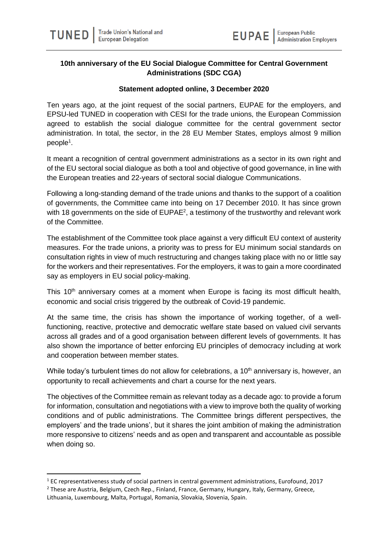## **10th anniversary of the EU Social Dialogue Committee for Central Government Administrations (SDC CGA)**

## **Statement adopted online, 3 December 2020**

Ten years ago, at the joint request of the social partners, EUPAE for the employers, and EPSU-led TUNED in cooperation with CESI for the trade unions, the European Commission agreed to establish the social dialogue committee for the central government sector administration. In total, the sector, in the 28 EU Member States, employs almost 9 million people<sup>1</sup>.

It meant a recognition of central government administrations as a sector in its own right and of the EU sectoral social dialogue as both a tool and objective of good governance, in line with the European treaties and 22-years of sectoral social dialogue Communications.

Following a long-standing demand of the trade unions and thanks to the support of a coalition of governments, the Committee came into being on 17 December 2010. It has since grown with 18 governments on the side of EUPAE<sup>2</sup>, a testimony of the trustworthy and relevant work of the Committee.

The establishment of the Committee took place against a very difficult EU context of austerity measures. For the trade unions, a priority was to press for EU minimum social standards on consultation rights in view of much restructuring and changes taking place with no or little say for the workers and their representatives. For the employers, it was to gain a more coordinated say as employers in EU social policy-making.

This  $10<sup>th</sup>$  anniversary comes at a moment when Europe is facing its most difficult health, economic and social crisis triggered by the outbreak of Covid-19 pandemic.

At the same time, the crisis has shown the importance of working together, of a wellfunctioning, reactive, protective and democratic welfare state based on valued civil servants across all grades and of a good organisation between different levels of governments. It has also shown the importance of better enforcing EU principles of democracy including at work and cooperation between member states.

While today's turbulent times do not allow for celebrations, a 10<sup>th</sup> anniversary is, however, an opportunity to recall achievements and chart a course for the next years.

The objectives of the Committee remain as relevant today as a decade ago: to provide a forum for information, consultation and negotiations with a view to improve both the quality of working conditions and of public administrations. The Committee brings different perspectives, the employers' and the trade unions', but it shares the joint ambition of making the administration more responsive to citizens' needs and as open and transparent and accountable as possible when doing so.

 $1$  EC representativeness study of social partners in central government administrations, Eurofound, 2017 <sup>2</sup> These are Austria, Belgium, Czech Rep., Finland, France, Germany, Hungary, Italy, Germany, Greece,

Lithuania, Luxembourg, Malta, Portugal, Romania, Slovakia, Slovenia, Spain.